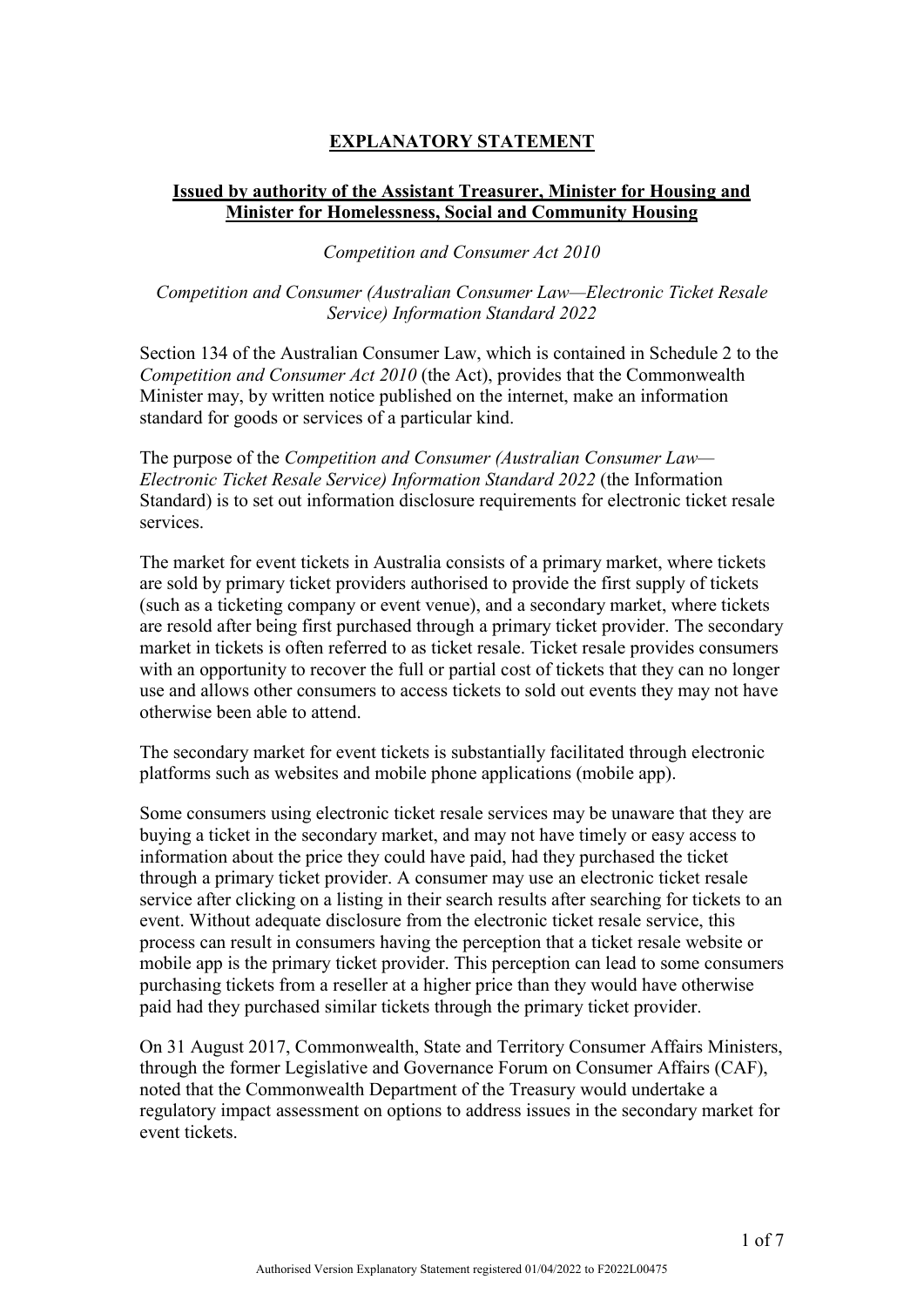# **EXPLANATORY STATEMENT**

## **Issued by authority of the Assistant Treasurer, Minister for Housing and Minister for Homelessness, Social and Community Housing**

*Competition and Consumer Act 2010*

## *Competition and Consumer (Australian Consumer Law—Electronic Ticket Resale Service) Information Standard 2022*

Section 134 of the Australian Consumer Law, which is contained in Schedule 2 to the *Competition and Consumer Act 2010* (the Act), provides that the Commonwealth Minister may, by written notice published on the internet, make an information standard for goods or services of a particular kind.

The purpose of the *Competition and Consumer (Australian Consumer Law— Electronic Ticket Resale Service) Information Standard 2022* (the Information Standard) is to set out information disclosure requirements for electronic ticket resale services.

The market for event tickets in Australia consists of a primary market, where tickets are sold by primary ticket providers authorised to provide the first supply of tickets (such as a ticketing company or event venue), and a secondary market, where tickets are resold after being first purchased through a primary ticket provider. The secondary market in tickets is often referred to as ticket resale. Ticket resale provides consumers with an opportunity to recover the full or partial cost of tickets that they can no longer use and allows other consumers to access tickets to sold out events they may not have otherwise been able to attend.

The secondary market for event tickets is substantially facilitated through electronic platforms such as websites and mobile phone applications (mobile app).

Some consumers using electronic ticket resale services may be unaware that they are buying a ticket in the secondary market, and may not have timely or easy access to information about the price they could have paid, had they purchased the ticket through a primary ticket provider. A consumer may use an electronic ticket resale service after clicking on a listing in their search results after searching for tickets to an event. Without adequate disclosure from the electronic ticket resale service, this process can result in consumers having the perception that a ticket resale website or mobile app is the primary ticket provider. This perception can lead to some consumers purchasing tickets from a reseller at a higher price than they would have otherwise paid had they purchased similar tickets through the primary ticket provider.

On 31 August 2017, Commonwealth, State and Territory Consumer Affairs Ministers, through the former Legislative and Governance Forum on Consumer Affairs (CAF), noted that the Commonwealth Department of the Treasury would undertake a regulatory impact assessment on options to address issues in the secondary market for event tickets.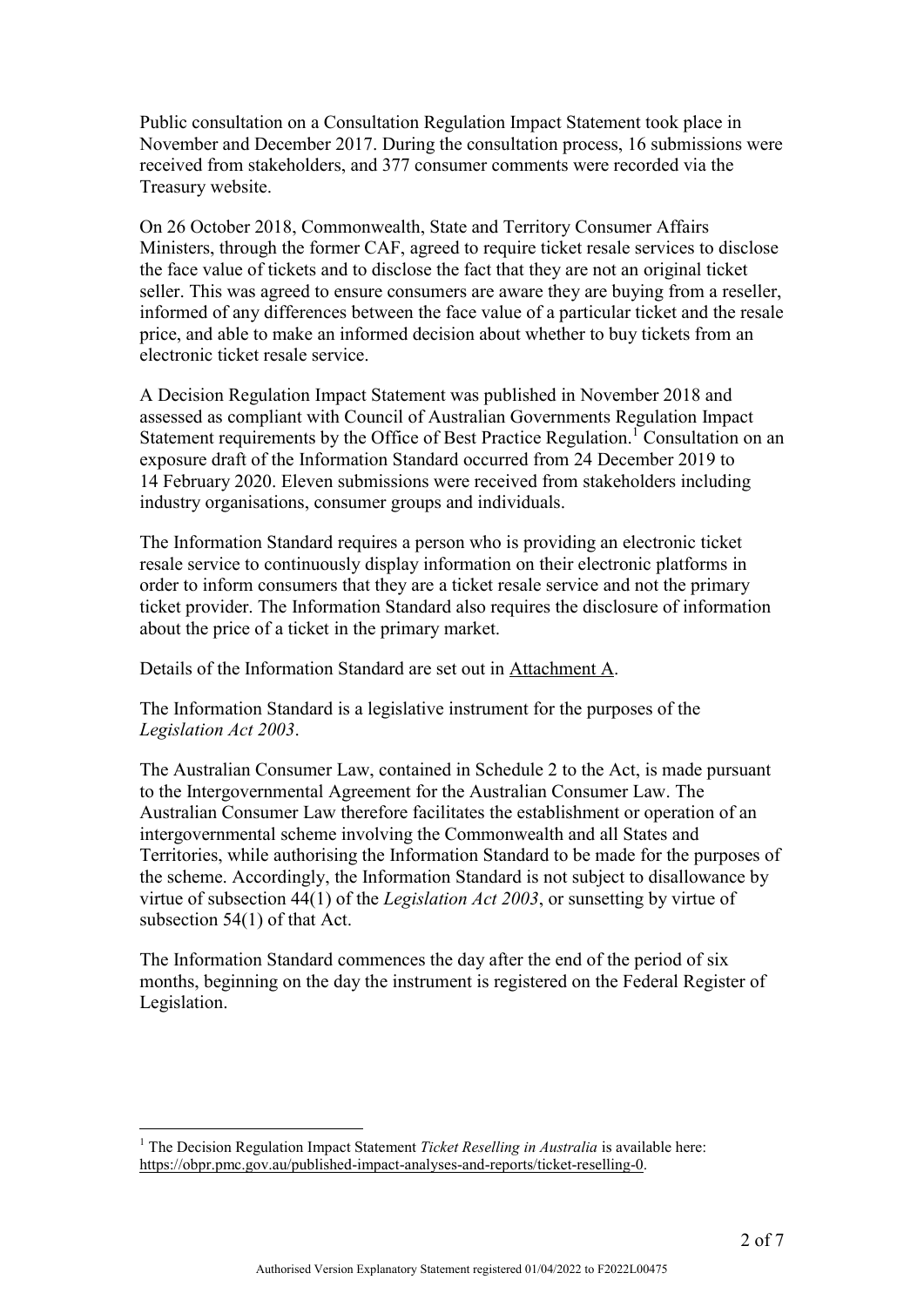Public consultation on a Consultation Regulation Impact Statement took place in November and December 2017. During the consultation process, 16 submissions were received from stakeholders, and 377 consumer comments were recorded via the Treasury website.

On 26 October 2018, Commonwealth, State and Territory Consumer Affairs Ministers, through the former CAF, agreed to require ticket resale services to disclose the face value of tickets and to disclose the fact that they are not an original ticket seller. This was agreed to ensure consumers are aware they are buying from a reseller, informed of any differences between the face value of a particular ticket and the resale price, and able to make an informed decision about whether to buy tickets from an electronic ticket resale service.

A Decision Regulation Impact Statement was published in November 2018 and assessed as compliant with Council of Australian Governments Regulation Impact Statement requirements by the Office of Best Practice Regulation.<sup>1</sup> Consultation on an exposure draft of the Information Standard occurred from 24 December 2019 to 14 February 2020. Eleven submissions were received from stakeholders including industry organisations, consumer groups and individuals.

The Information Standard requires a person who is providing an electronic ticket resale service to continuously display information on their electronic platforms in order to inform consumers that they are a ticket resale service and not the primary ticket provider. The Information Standard also requires the disclosure of information about the price of a ticket in the primary market.

Details of the Information Standard are set out in Attachment A.

The Information Standard is a legislative instrument for the purposes of the *Legislation Act 2003*.

The Australian Consumer Law, contained in Schedule 2 to the Act, is made pursuant to the Intergovernmental Agreement for the Australian Consumer Law. The Australian Consumer Law therefore facilitates the establishment or operation of an intergovernmental scheme involving the Commonwealth and all States and Territories, while authorising the Information Standard to be made for the purposes of the scheme. Accordingly, the Information Standard is not subject to disallowance by virtue of subsection 44(1) of the *Legislation Act 2003*, or sunsetting by virtue of subsection 54(1) of that Act.

The Information Standard commences the day after the end of the period of six months, beginning on the day the instrument is registered on the Federal Register of Legislation.

<u>.</u>

<sup>&</sup>lt;sup>1</sup> The Decision Regulation Impact Statement *Ticket Reselling in Australia* is available here: [https://obpr.pmc.gov.au/published-impact-analyses-and-reports/ticket-reselling-0.](https://obpr.pmc.gov.au/published-impact-analyses-and-reports/ticket-reselling-0)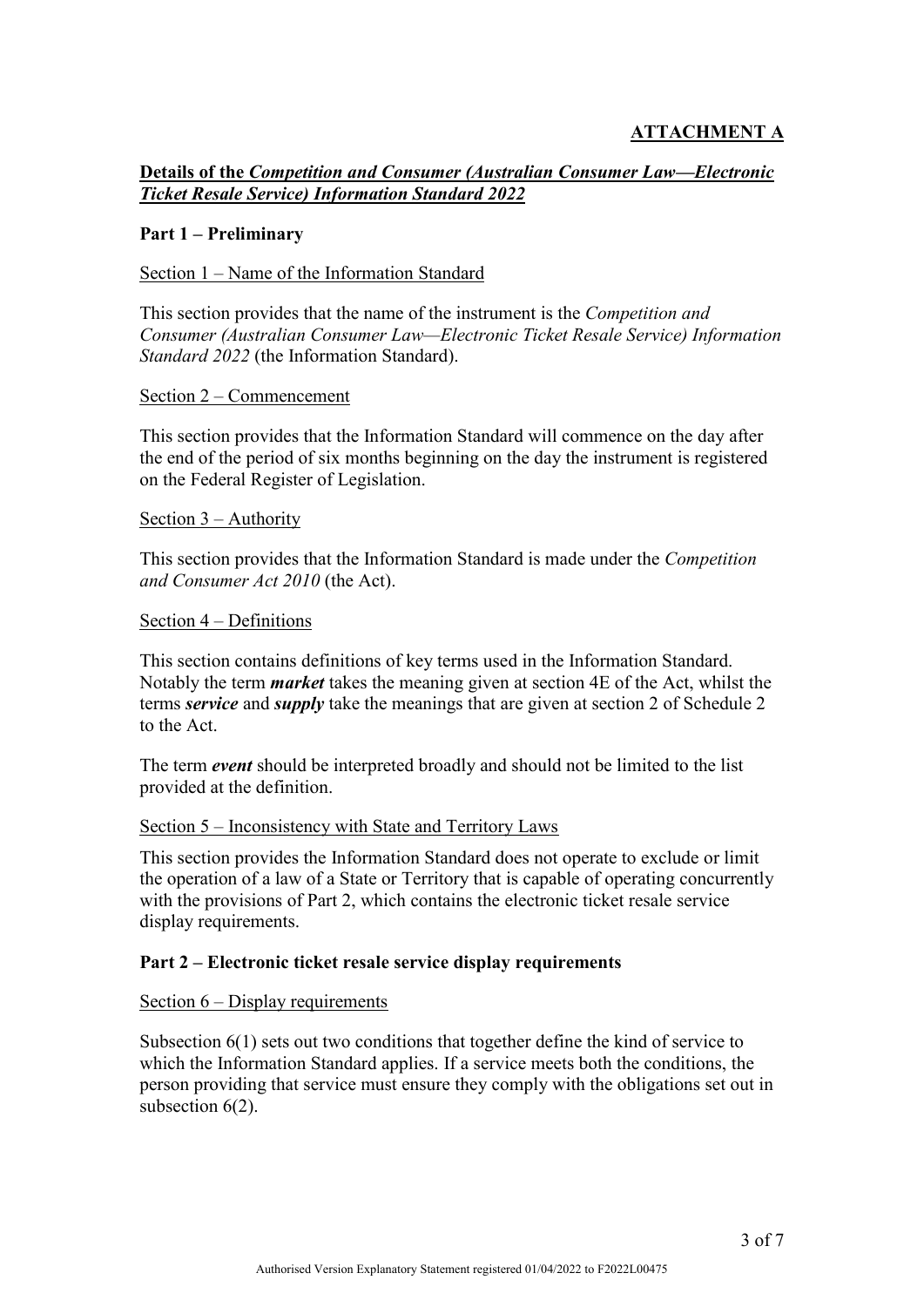## **ATTACHMENT A**

**Details of the** *Competition and Consumer (Australian Consumer Law—Electronic Ticket Resale Service) Information Standard 2022*

### **Part 1 – Preliminary**

#### Section 1 – Name of the Information Standard

This section provides that the name of the instrument is the *Competition and Consumer (Australian Consumer Law—Electronic Ticket Resale Service) Information Standard 2022* (the Information Standard).

#### Section 2 – Commencement

This section provides that the Information Standard will commence on the day after the end of the period of six months beginning on the day the instrument is registered on the Federal Register of Legislation.

#### Section 3 – Authority

This section provides that the Information Standard is made under the *Competition and Consumer Act 2010* (the Act).

#### Section 4 – Definitions

This section contains definitions of key terms used in the Information Standard. Notably the term *market* takes the meaning given at section 4E of the Act, whilst the terms *service* and *supply* take the meanings that are given at section 2 of Schedule 2 to the Act.

The term *event* should be interpreted broadly and should not be limited to the list provided at the definition.

#### Section 5 – Inconsistency with State and Territory Laws

This section provides the Information Standard does not operate to exclude or limit the operation of a law of a State or Territory that is capable of operating concurrently with the provisions of Part 2, which contains the electronic ticket resale service display requirements.

### **Part 2 – Electronic ticket resale service display requirements**

#### Section 6 – Display requirements

Subsection 6(1) sets out two conditions that together define the kind of service to which the Information Standard applies. If a service meets both the conditions, the person providing that service must ensure they comply with the obligations set out in subsection  $6(2)$ .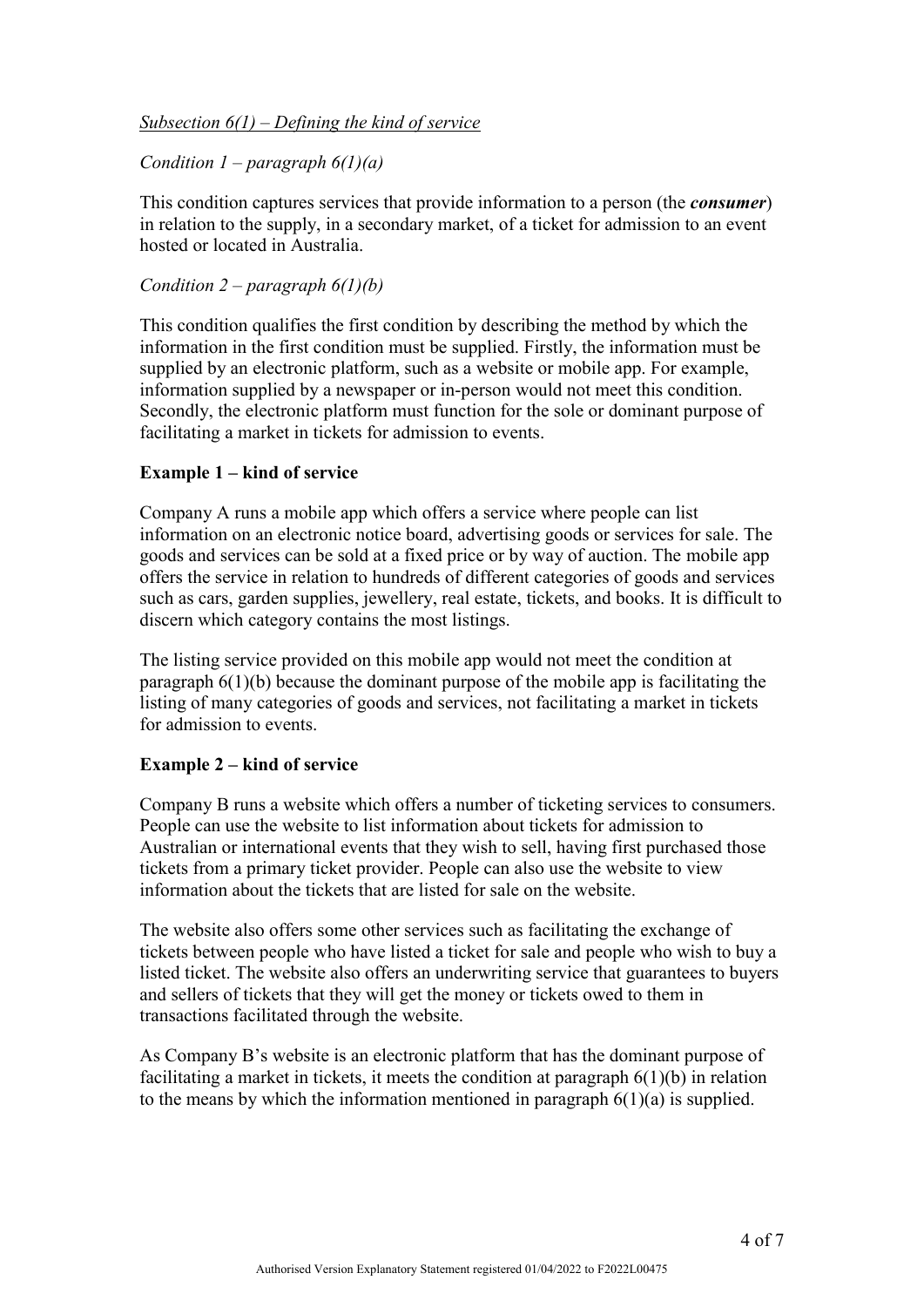## *Subsection 6(1) – Defining the kind of service*

## *Condition 1 – paragraph 6(1)(a)*

This condition captures services that provide information to a person (the *consumer*) in relation to the supply, in a secondary market, of a ticket for admission to an event hosted or located in Australia.

## *Condition 2 – paragraph 6(1)(b)*

This condition qualifies the first condition by describing the method by which the information in the first condition must be supplied. Firstly, the information must be supplied by an electronic platform, such as a website or mobile app. For example, information supplied by a newspaper or in-person would not meet this condition. Secondly, the electronic platform must function for the sole or dominant purpose of facilitating a market in tickets for admission to events.

### **Example 1 – kind of service**

Company A runs a mobile app which offers a service where people can list information on an electronic notice board, advertising goods or services for sale. The goods and services can be sold at a fixed price or by way of auction. The mobile app offers the service in relation to hundreds of different categories of goods and services such as cars, garden supplies, jewellery, real estate, tickets, and books. It is difficult to discern which category contains the most listings.

The listing service provided on this mobile app would not meet the condition at paragraph 6(1)(b) because the dominant purpose of the mobile app is facilitating the listing of many categories of goods and services, not facilitating a market in tickets for admission to events.

### **Example 2 – kind of service**

Company B runs a website which offers a number of ticketing services to consumers. People can use the website to list information about tickets for admission to Australian or international events that they wish to sell, having first purchased those tickets from a primary ticket provider. People can also use the website to view information about the tickets that are listed for sale on the website.

The website also offers some other services such as facilitating the exchange of tickets between people who have listed a ticket for sale and people who wish to buy a listed ticket. The website also offers an underwriting service that guarantees to buyers and sellers of tickets that they will get the money or tickets owed to them in transactions facilitated through the website.

As Company B's website is an electronic platform that has the dominant purpose of facilitating a market in tickets, it meets the condition at paragraph 6(1)(b) in relation to the means by which the information mentioned in paragraph 6(1)(a) is supplied.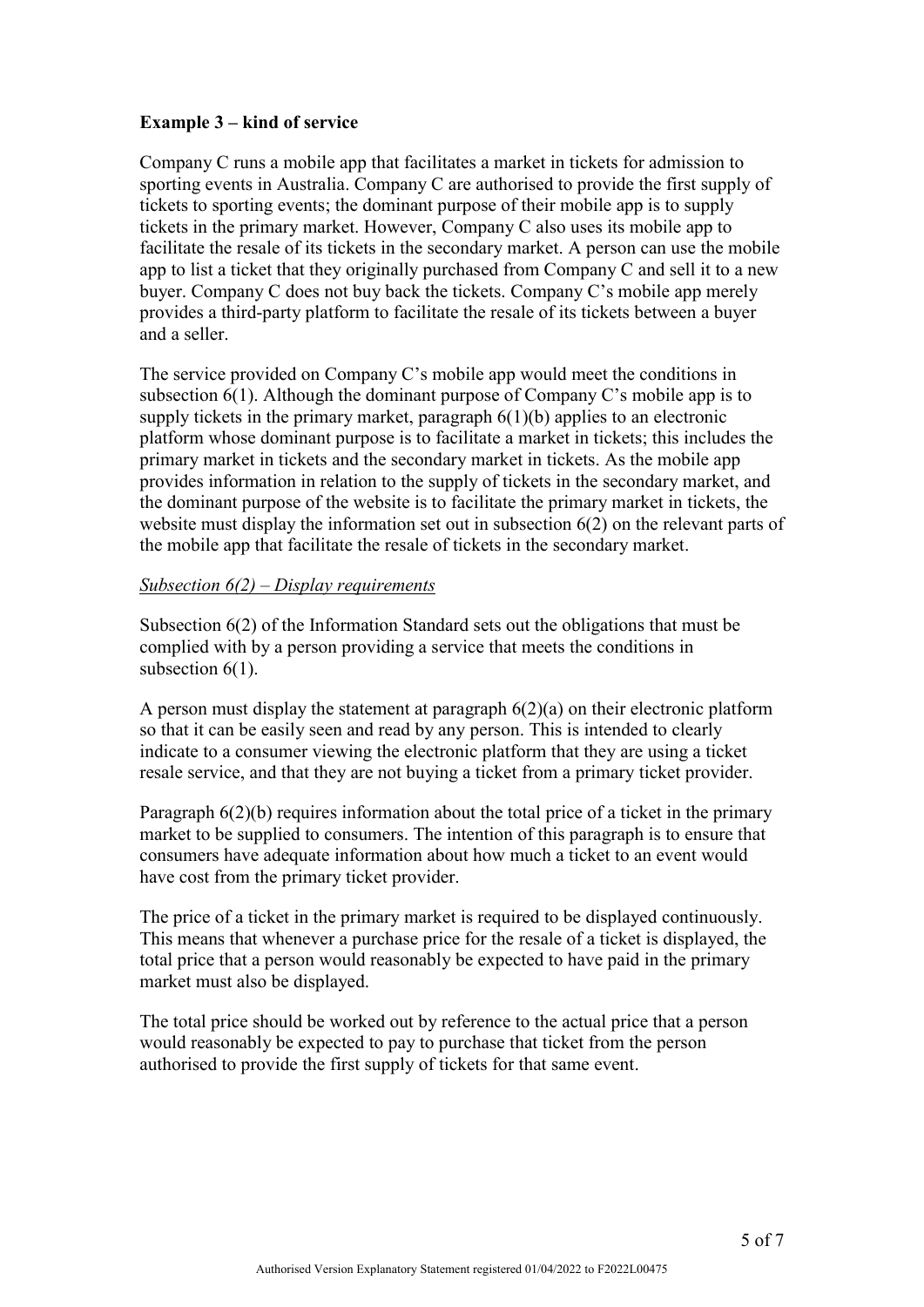## **Example 3 – kind of service**

Company C runs a mobile app that facilitates a market in tickets for admission to sporting events in Australia. Company C are authorised to provide the first supply of tickets to sporting events; the dominant purpose of their mobile app is to supply tickets in the primary market. However, Company C also uses its mobile app to facilitate the resale of its tickets in the secondary market. A person can use the mobile app to list a ticket that they originally purchased from Company C and sell it to a new buyer. Company C does not buy back the tickets. Company C's mobile app merely provides a third-party platform to facilitate the resale of its tickets between a buyer and a seller.

The service provided on Company C's mobile app would meet the conditions in subsection 6(1). Although the dominant purpose of Company C's mobile app is to supply tickets in the primary market, paragraph 6(1)(b) applies to an electronic platform whose dominant purpose is to facilitate a market in tickets; this includes the primary market in tickets and the secondary market in tickets. As the mobile app provides information in relation to the supply of tickets in the secondary market, and the dominant purpose of the website is to facilitate the primary market in tickets, the website must display the information set out in subsection 6(2) on the relevant parts of the mobile app that facilitate the resale of tickets in the secondary market.

## *Subsection 6(2) – Display requirements*

Subsection 6(2) of the Information Standard sets out the obligations that must be complied with by a person providing a service that meets the conditions in subsection  $6(1)$ .

A person must display the statement at paragraph 6(2)(a) on their electronic platform so that it can be easily seen and read by any person. This is intended to clearly indicate to a consumer viewing the electronic platform that they are using a ticket resale service, and that they are not buying a ticket from a primary ticket provider.

Paragraph  $6(2)(b)$  requires information about the total price of a ticket in the primary market to be supplied to consumers. The intention of this paragraph is to ensure that consumers have adequate information about how much a ticket to an event would have cost from the primary ticket provider.

The price of a ticket in the primary market is required to be displayed continuously. This means that whenever a purchase price for the resale of a ticket is displayed, the total price that a person would reasonably be expected to have paid in the primary market must also be displayed.

The total price should be worked out by reference to the actual price that a person would reasonably be expected to pay to purchase that ticket from the person authorised to provide the first supply of tickets for that same event.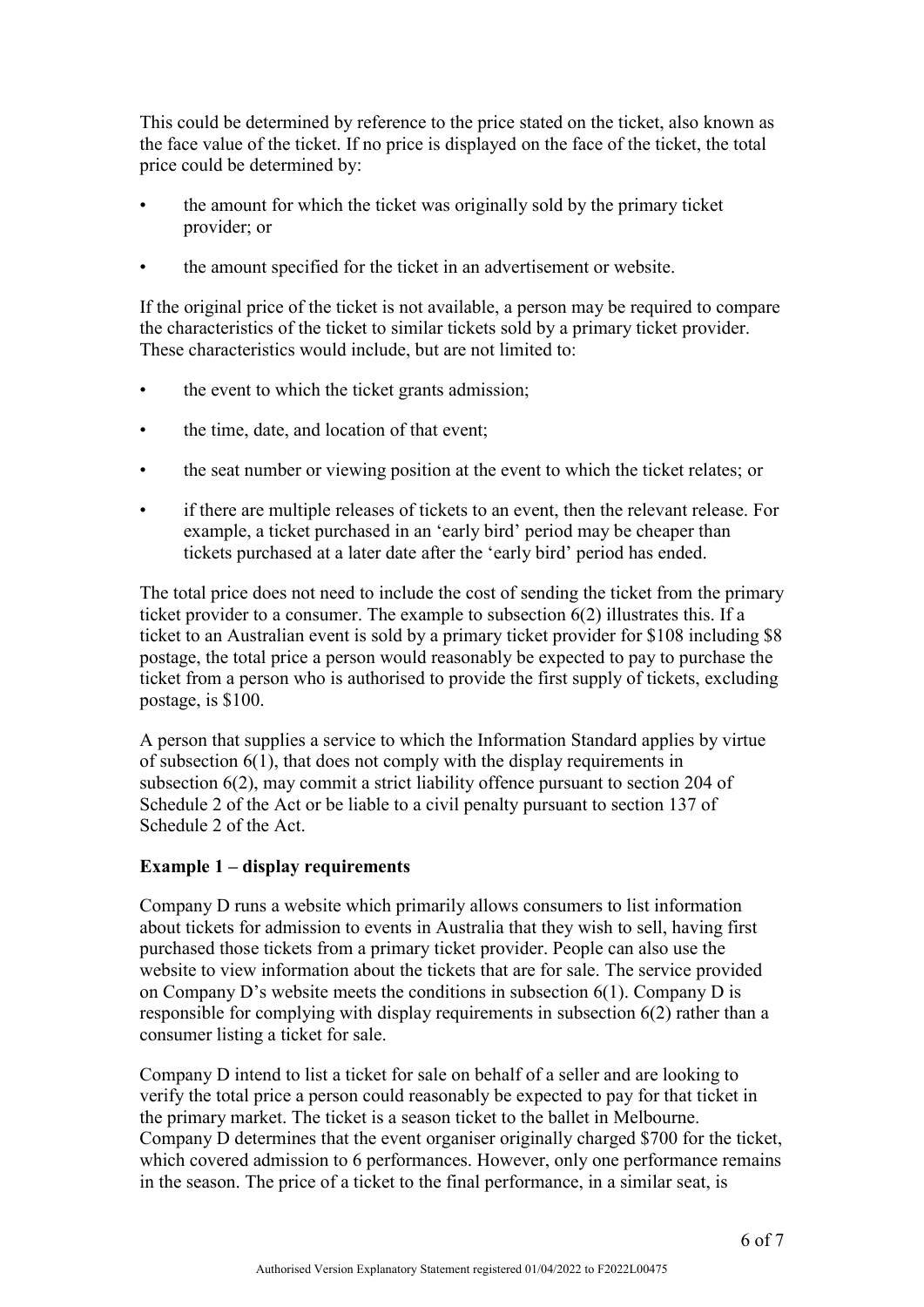This could be determined by reference to the price stated on the ticket, also known as the face value of the ticket. If no price is displayed on the face of the ticket, the total price could be determined by:

- the amount for which the ticket was originally sold by the primary ticket provider; or
- the amount specified for the ticket in an advertisement or website.

If the original price of the ticket is not available, a person may be required to compare the characteristics of the ticket to similar tickets sold by a primary ticket provider. These characteristics would include, but are not limited to:

- the event to which the ticket grants admission;
- the time, date, and location of that event;
- the seat number or viewing position at the event to which the ticket relates; or
- if there are multiple releases of tickets to an event, then the relevant release. For example, a ticket purchased in an 'early bird' period may be cheaper than tickets purchased at a later date after the 'early bird' period has ended.

The total price does not need to include the cost of sending the ticket from the primary ticket provider to a consumer. The example to subsection 6(2) illustrates this. If a ticket to an Australian event is sold by a primary ticket provider for \$108 including \$8 postage, the total price a person would reasonably be expected to pay to purchase the ticket from a person who is authorised to provide the first supply of tickets, excluding postage, is \$100.

A person that supplies a service to which the Information Standard applies by virtue of subsection 6(1), that does not comply with the display requirements in subsection 6(2), may commit a strict liability offence pursuant to section 204 of Schedule 2 of the Act or be liable to a civil penalty pursuant to section 137 of Schedule 2 of the Act.

### **Example 1 – display requirements**

Company D runs a website which primarily allows consumers to list information about tickets for admission to events in Australia that they wish to sell, having first purchased those tickets from a primary ticket provider. People can also use the website to view information about the tickets that are for sale. The service provided on Company D's website meets the conditions in subsection 6(1). Company D is responsible for complying with display requirements in subsection 6(2) rather than a consumer listing a ticket for sale.

Company D intend to list a ticket for sale on behalf of a seller and are looking to verify the total price a person could reasonably be expected to pay for that ticket in the primary market. The ticket is a season ticket to the ballet in Melbourne. Company D determines that the event organiser originally charged \$700 for the ticket, which covered admission to 6 performances. However, only one performance remains in the season. The price of a ticket to the final performance, in a similar seat, is